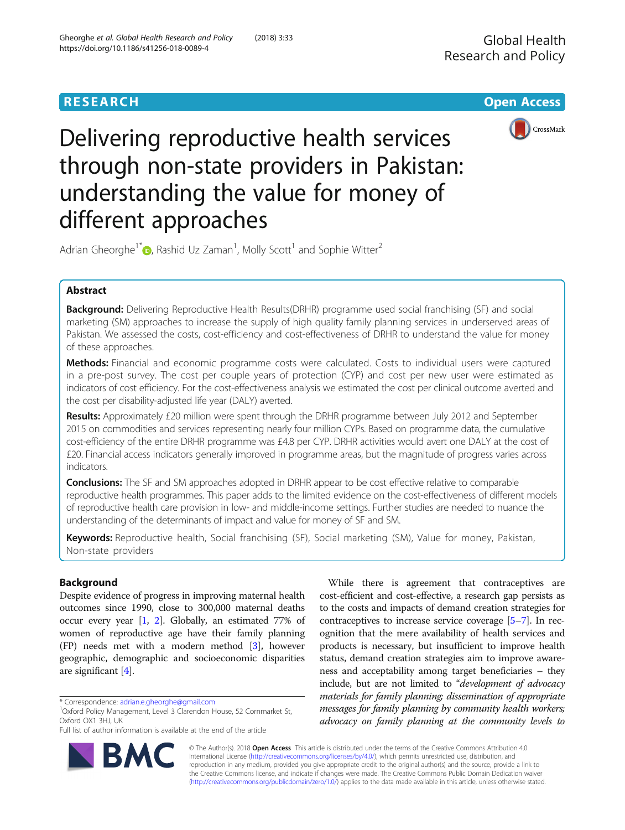

# Delivering reproductive health services through non-state providers in Pakistan: understanding the value for money of different approaches

Adrian Gheorghe<sup>1\*</sup> $\bullet$ , Rashid Uz Zaman<sup>1</sup>, Molly Scott<sup>1</sup> and Sophie Witter<sup>2</sup>

# Abstract

Background: Delivering Reproductive Health Results(DRHR) programme used social franchising (SF) and social marketing (SM) approaches to increase the supply of high quality family planning services in underserved areas of Pakistan. We assessed the costs, cost-efficiency and cost-effectiveness of DRHR to understand the value for money of these approaches.

Methods: Financial and economic programme costs were calculated. Costs to individual users were captured in a pre-post survey. The cost per couple years of protection (CYP) and cost per new user were estimated as indicators of cost efficiency. For the cost-effectiveness analysis we estimated the cost per clinical outcome averted and the cost per disability-adjusted life year (DALY) averted.

Results: Approximately £20 million were spent through the DRHR programme between July 2012 and September 2015 on commodities and services representing nearly four million CYPs. Based on programme data, the cumulative cost-efficiency of the entire DRHR programme was £4.8 per CYP. DRHR activities would avert one DALY at the cost of £20. Financial access indicators generally improved in programme areas, but the magnitude of progress varies across indicators.

**Conclusions:** The SF and SM approaches adopted in DRHR appear to be cost effective relative to comparable reproductive health programmes. This paper adds to the limited evidence on the cost-effectiveness of different models of reproductive health care provision in low- and middle-income settings. Further studies are needed to nuance the understanding of the determinants of impact and value for money of SF and SM.

Keywords: Reproductive health, Social franchising (SF), Social marketing (SM), Value for money, Pakistan, Non-state providers

# Background

Despite evidence of progress in improving maternal health outcomes since 1990, close to 300,000 maternal deaths occur every year [\[1](#page-8-0), [2](#page-8-0)]. Globally, an estimated 77% of women of reproductive age have their family planning (FP) needs met with a modern method [[3\]](#page-8-0), however geographic, demographic and socioeconomic disparities are significant [\[4\]](#page-8-0).

R,

Full list of author information is available at the end of the article



© The Author(s). 2018 Open Access This article is distributed under the terms of the Creative Commons Attribution 4.0 International License [\(http://creativecommons.org/licenses/by/4.0/](http://creativecommons.org/licenses/by/4.0/)), which permits unrestricted use, distribution, and reproduction in any medium, provided you give appropriate credit to the original author(s) and the source, provide a link to the Creative Commons license, and indicate if changes were made. The Creative Commons Public Domain Dedication waiver [\(http://creativecommons.org/publicdomain/zero/1.0/](http://creativecommons.org/publicdomain/zero/1.0/)) applies to the data made available in this article, unless otherwise stated.

<sup>\*</sup> Correspondence: [adrian.e.gheorghe@gmail.com](mailto:adrian.e.gheorghe@gmail.com) <sup>1</sup>

<sup>&</sup>lt;sup>1</sup>Oxford Policy Management, Level 3 Clarendon House, 52 Cornmarket St, Oxford OX1 3HJ, UK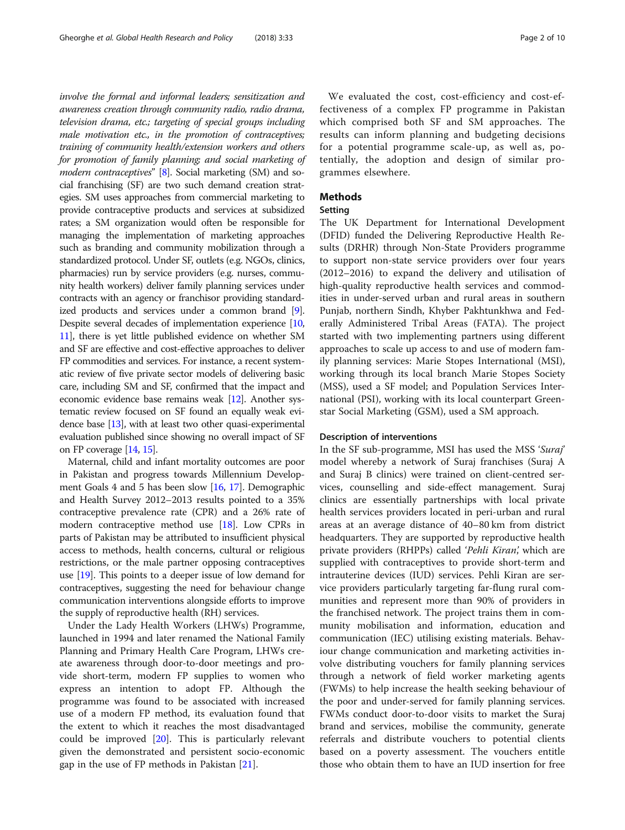involve the formal and informal leaders; sensitization and awareness creation through community radio, radio drama, television drama, etc.; targeting of special groups including male motivation etc., in the promotion of contraceptives; training of community health/extension workers and others for promotion of family planning; and social marketing of modern contraceptives" [\[8](#page-8-0)]. Social marketing (SM) and social franchising (SF) are two such demand creation strategies. SM uses approaches from commercial marketing to provide contraceptive products and services at subsidized rates; a SM organization would often be responsible for managing the implementation of marketing approaches such as branding and community mobilization through a standardized protocol. Under SF, outlets (e.g. NGOs, clinics, pharmacies) run by service providers (e.g. nurses, community health workers) deliver family planning services under contracts with an agency or franchisor providing standardized products and services under a common brand [[9](#page-8-0)]. Despite several decades of implementation experience [\[10](#page-8-0), [11](#page-8-0)], there is yet little published evidence on whether SM and SF are effective and cost-effective approaches to deliver FP commodities and services. For instance, a recent systematic review of five private sector models of delivering basic care, including SM and SF, confirmed that the impact and economic evidence base remains weak [\[12\]](#page-8-0). Another systematic review focused on SF found an equally weak evidence base [[13](#page-8-0)], with at least two other quasi-experimental evaluation published since showing no overall impact of SF on FP coverage [\[14](#page-8-0), [15](#page-8-0)].

Maternal, child and infant mortality outcomes are poor in Pakistan and progress towards Millennium Development Goals 4 and 5 has been slow [\[16](#page-8-0), [17\]](#page-8-0). Demographic and Health Survey 2012–2013 results pointed to a 35% contraceptive prevalence rate (CPR) and a 26% rate of modern contraceptive method use [[18](#page-8-0)]. Low CPRs in parts of Pakistan may be attributed to insufficient physical access to methods, health concerns, cultural or religious restrictions, or the male partner opposing contraceptives use [\[19\]](#page-8-0). This points to a deeper issue of low demand for contraceptives, suggesting the need for behaviour change communication interventions alongside efforts to improve the supply of reproductive health (RH) services.

Under the Lady Health Workers (LHWs) Programme, launched in 1994 and later renamed the National Family Planning and Primary Health Care Program, LHWs create awareness through door-to-door meetings and provide short-term, modern FP supplies to women who express an intention to adopt FP. Although the programme was found to be associated with increased use of a modern FP method, its evaluation found that the extent to which it reaches the most disadvantaged could be improved [\[20](#page-8-0)]. This is particularly relevant given the demonstrated and persistent socio-economic gap in the use of FP methods in Pakistan [[21\]](#page-8-0).

We evaluated the cost, cost-efficiency and cost-effectiveness of a complex FP programme in Pakistan which comprised both SF and SM approaches. The results can inform planning and budgeting decisions for a potential programme scale-up, as well as, potentially, the adoption and design of similar programmes elsewhere.

# Methods

# Setting

The UK Department for International Development (DFID) funded the Delivering Reproductive Health Results (DRHR) through Non-State Providers programme to support non-state service providers over four years (2012–2016) to expand the delivery and utilisation of high-quality reproductive health services and commodities in under-served urban and rural areas in southern Punjab, northern Sindh, Khyber Pakhtunkhwa and Federally Administered Tribal Areas (FATA). The project started with two implementing partners using different approaches to scale up access to and use of modern family planning services: Marie Stopes International (MSI), working through its local branch Marie Stopes Society (MSS), used a SF model; and Population Services International (PSI), working with its local counterpart Greenstar Social Marketing (GSM), used a SM approach.

#### Description of interventions

In the SF sub-programme, MSI has used the MSS 'Suraj' model whereby a network of Suraj franchises (Suraj A and Suraj B clinics) were trained on client-centred services, counselling and side-effect management. Suraj clinics are essentially partnerships with local private health services providers located in peri-urban and rural areas at an average distance of 40–80 km from district headquarters. They are supported by reproductive health private providers (RHPPs) called 'Pehli Kiran', which are supplied with contraceptives to provide short-term and intrauterine devices (IUD) services. Pehli Kiran are service providers particularly targeting far-flung rural communities and represent more than 90% of providers in the franchised network. The project trains them in community mobilisation and information, education and communication (IEC) utilising existing materials. Behaviour change communication and marketing activities involve distributing vouchers for family planning services through a network of field worker marketing agents (FWMs) to help increase the health seeking behaviour of the poor and under-served for family planning services. FWMs conduct door-to-door visits to market the Suraj brand and services, mobilise the community, generate referrals and distribute vouchers to potential clients based on a poverty assessment. The vouchers entitle those who obtain them to have an IUD insertion for free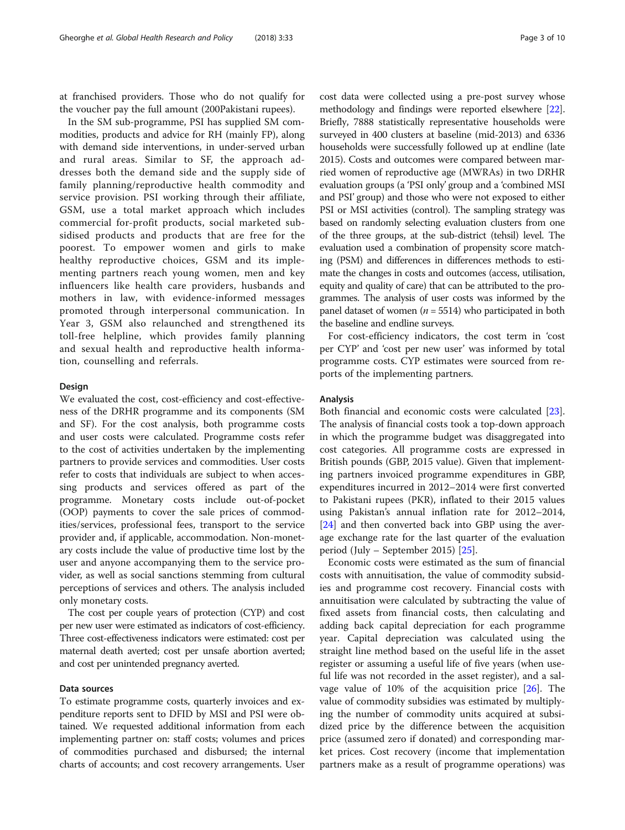at franchised providers. Those who do not qualify for the voucher pay the full amount (200Pakistani rupees).

In the SM sub-programme, PSI has supplied SM commodities, products and advice for RH (mainly FP), along with demand side interventions, in under-served urban and rural areas. Similar to SF, the approach addresses both the demand side and the supply side of family planning/reproductive health commodity and service provision. PSI working through their affiliate, GSM, use a total market approach which includes commercial for-profit products, social marketed subsidised products and products that are free for the poorest. To empower women and girls to make healthy reproductive choices, GSM and its implementing partners reach young women, men and key influencers like health care providers, husbands and mothers in law, with evidence-informed messages promoted through interpersonal communication. In Year 3, GSM also relaunched and strengthened its toll-free helpline, which provides family planning and sexual health and reproductive health information, counselling and referrals.

#### Design

We evaluated the cost, cost-efficiency and cost-effectiveness of the DRHR programme and its components (SM and SF). For the cost analysis, both programme costs and user costs were calculated. Programme costs refer to the cost of activities undertaken by the implementing partners to provide services and commodities. User costs refer to costs that individuals are subject to when accessing products and services offered as part of the programme. Monetary costs include out-of-pocket (OOP) payments to cover the sale prices of commodities/services, professional fees, transport to the service provider and, if applicable, accommodation. Non-monetary costs include the value of productive time lost by the user and anyone accompanying them to the service provider, as well as social sanctions stemming from cultural perceptions of services and others. The analysis included only monetary costs.

The cost per couple years of protection (CYP) and cost per new user were estimated as indicators of cost-efficiency. Three cost-effectiveness indicators were estimated: cost per maternal death averted; cost per unsafe abortion averted; and cost per unintended pregnancy averted.

# Data sources

To estimate programme costs, quarterly invoices and expenditure reports sent to DFID by MSI and PSI were obtained. We requested additional information from each implementing partner on: staff costs; volumes and prices of commodities purchased and disbursed; the internal charts of accounts; and cost recovery arrangements. User cost data were collected using a pre-post survey whose methodology and findings were reported elsewhere [[22](#page-9-0)]. Briefly, 7888 statistically representative households were surveyed in 400 clusters at baseline (mid-2013) and 6336 households were successfully followed up at endline (late 2015). Costs and outcomes were compared between married women of reproductive age (MWRAs) in two DRHR evaluation groups (a 'PSI only' group and a 'combined MSI and PSI' group) and those who were not exposed to either PSI or MSI activities (control). The sampling strategy was based on randomly selecting evaluation clusters from one of the three groups, at the sub-district (tehsil) level. The evaluation used a combination of propensity score matching (PSM) and differences in differences methods to estimate the changes in costs and outcomes (access, utilisation, equity and quality of care) that can be attributed to the programmes. The analysis of user costs was informed by the panel dataset of women ( $n = 5514$ ) who participated in both the baseline and endline surveys.

For cost-efficiency indicators, the cost term in 'cost per CYP' and 'cost per new user' was informed by total programme costs. CYP estimates were sourced from reports of the implementing partners.

# Analysis

Both financial and economic costs were calculated [\[23](#page-9-0)]. The analysis of financial costs took a top-down approach in which the programme budget was disaggregated into cost categories. All programme costs are expressed in British pounds (GBP, 2015 value). Given that implementing partners invoiced programme expenditures in GBP, expenditures incurred in 2012–2014 were first converted to Pakistani rupees (PKR), inflated to their 2015 values using Pakistan's annual inflation rate for 2012–2014, [[24\]](#page-9-0) and then converted back into GBP using the average exchange rate for the last quarter of the evaluation period (July – September 2015) [\[25\]](#page-9-0).

Economic costs were estimated as the sum of financial costs with annuitisation, the value of commodity subsidies and programme cost recovery. Financial costs with annuitisation were calculated by subtracting the value of fixed assets from financial costs, then calculating and adding back capital depreciation for each programme year. Capital depreciation was calculated using the straight line method based on the useful life in the asset register or assuming a useful life of five years (when useful life was not recorded in the asset register), and a salvage value of 10% of the acquisition price [[26\]](#page-9-0). The value of commodity subsidies was estimated by multiplying the number of commodity units acquired at subsidized price by the difference between the acquisition price (assumed zero if donated) and corresponding market prices. Cost recovery (income that implementation partners make as a result of programme operations) was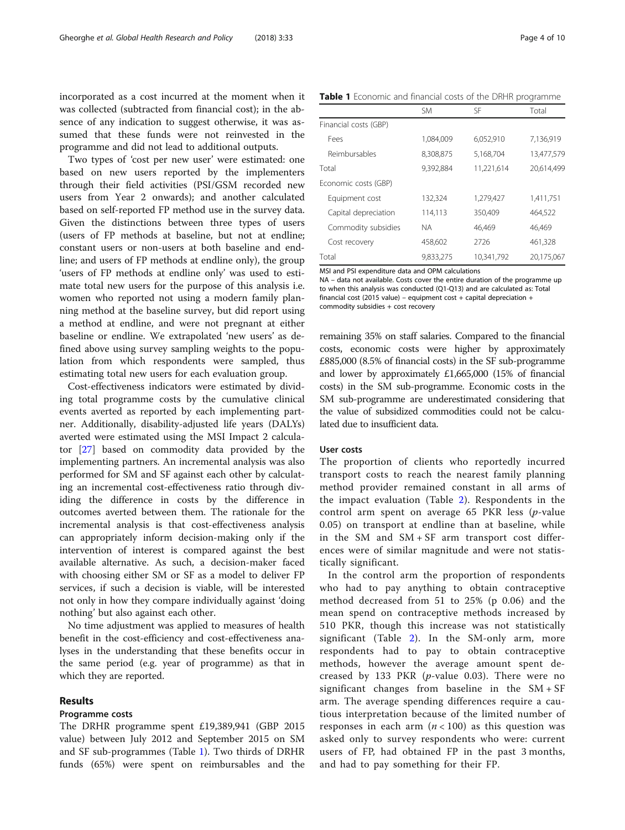<span id="page-3-0"></span>incorporated as a cost incurred at the moment when it was collected (subtracted from financial cost); in the absence of any indication to suggest otherwise, it was assumed that these funds were not reinvested in the programme and did not lead to additional outputs.

Two types of 'cost per new user' were estimated: one based on new users reported by the implementers through their field activities (PSI/GSM recorded new users from Year 2 onwards); and another calculated based on self-reported FP method use in the survey data. Given the distinctions between three types of users (users of FP methods at baseline, but not at endline; constant users or non-users at both baseline and endline; and users of FP methods at endline only), the group 'users of FP methods at endline only' was used to estimate total new users for the purpose of this analysis i.e. women who reported not using a modern family planning method at the baseline survey, but did report using a method at endline, and were not pregnant at either baseline or endline. We extrapolated 'new users' as defined above using survey sampling weights to the population from which respondents were sampled, thus estimating total new users for each evaluation group.

Cost-effectiveness indicators were estimated by dividing total programme costs by the cumulative clinical events averted as reported by each implementing partner. Additionally, disability-adjusted life years (DALYs) averted were estimated using the MSI Impact 2 calculator [\[27\]](#page-9-0) based on commodity data provided by the implementing partners. An incremental analysis was also performed for SM and SF against each other by calculating an incremental cost-effectiveness ratio through dividing the difference in costs by the difference in outcomes averted between them. The rationale for the incremental analysis is that cost-effectiveness analysis can appropriately inform decision-making only if the intervention of interest is compared against the best available alternative. As such, a decision-maker faced with choosing either SM or SF as a model to deliver FP services, if such a decision is viable, will be interested not only in how they compare individually against 'doing nothing' but also against each other.

No time adjustment was applied to measures of health benefit in the cost-efficiency and cost-effectiveness analyses in the understanding that these benefits occur in the same period (e.g. year of programme) as that in which they are reported.

#### Results

# Programme costs

The DRHR programme spent £19,389,941 (GBP 2015 value) between July 2012 and September 2015 on SM and SF sub-programmes (Table 1). Two thirds of DRHR funds (65%) were spent on reimbursables and the

Table 1 Economic and financial costs of the DRHR programme

|                       | <b>SM</b> | SΕ         | Total      |  |
|-----------------------|-----------|------------|------------|--|
| Financial costs (GBP) |           |            |            |  |
| Fees                  | 1,084,009 | 6.052.910  |            |  |
| Reimbursables         | 8,308,875 | 5.168.704  | 13,477.579 |  |
| Total                 | 9.392.884 | 11,221,614 | 20.614.499 |  |
| Economic costs (GBP)  |           |            |            |  |
| Equipment cost        | 132,324   | 1,279,427  | 1,411,751  |  |
| Capital depreciation  | 114.113   | 350.409    | 464.522    |  |
| Commodity subsidies   | ΝA        | 46.469     | 46.469     |  |
| Cost recovery         | 458.602   | 2726       | 461,328    |  |
| Total                 | 9,833,275 | 10,341,792 | 20,175,067 |  |

MSI and PSI expenditure data and OPM calculations

NA – data not available. Costs cover the entire duration of the programme up to when this analysis was conducted (Q1-Q13) and are calculated as: Total financial cost (2015 value) – equipment cost + capital depreciation + commodity subsidies + cost recovery

remaining 35% on staff salaries. Compared to the financial costs, economic costs were higher by approximately £885,000 (8.5% of financial costs) in the SF sub-programme and lower by approximately £1,665,000 (15% of financial costs) in the SM sub-programme. Economic costs in the SM sub-programme are underestimated considering that the value of subsidized commodities could not be calculated due to insufficient data.

#### User costs

The proportion of clients who reportedly incurred transport costs to reach the nearest family planning method provider remained constant in all arms of the impact evaluation (Table [2](#page-4-0)). Respondents in the control arm spent on average 65 PKR less (p-value 0.05) on transport at endline than at baseline, while in the SM and SM + SF arm transport cost differences were of similar magnitude and were not statistically significant.

In the control arm the proportion of respondents who had to pay anything to obtain contraceptive method decreased from 51 to 25% (p 0.06) and the mean spend on contraceptive methods increased by 510 PKR, though this increase was not statistically significant (Table [2](#page-4-0)). In the SM-only arm, more respondents had to pay to obtain contraceptive methods, however the average amount spent decreased by 133 PKR ( $p$ -value 0.03). There were no significant changes from baseline in the SM + SF arm. The average spending differences require a cautious interpretation because of the limited number of responses in each arm  $(n < 100)$  as this question was asked only to survey respondents who were: current users of FP, had obtained FP in the past 3 months, and had to pay something for their FP.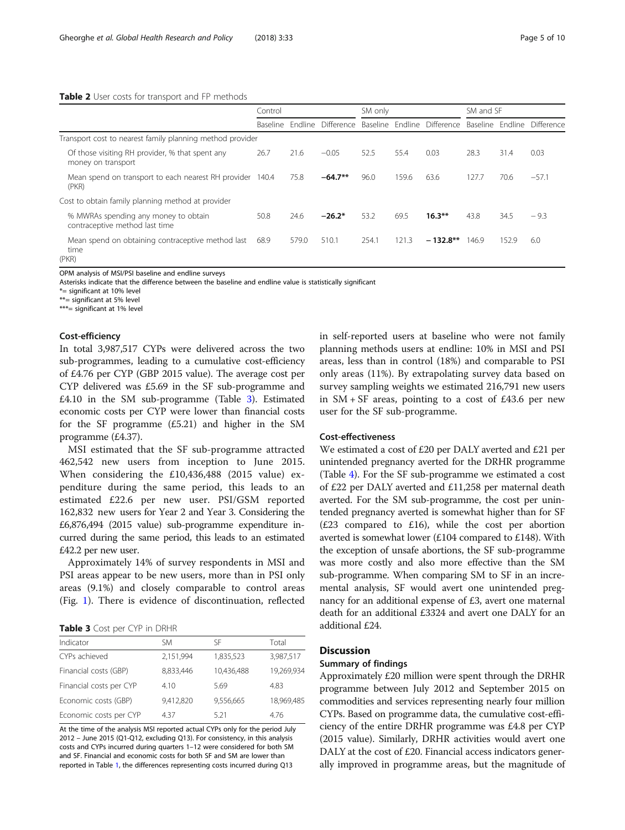#### <span id="page-4-0"></span>Table 2 User costs for transport and FP methods

|                                                                        | Control  |         | SM only    |       | SM and SF |                             |                  |       |            |
|------------------------------------------------------------------------|----------|---------|------------|-------|-----------|-----------------------------|------------------|-------|------------|
|                                                                        | Baseline | Fndline | Difference |       |           | Baseline Endline Difference | Baseline Endline |       | Difference |
| Transport cost to nearest family planning method provider              |          |         |            |       |           |                             |                  |       |            |
| Of those visiting RH provider, % that spent any<br>money on transport  | 26.7     | 21.6    | $-0.05$    | 52.5  | 55.4      | 0.03                        | 28.3             | 31.4  | 0.03       |
| Mean spend on transport to each nearest RH provider 140.4<br>(PKR)     |          | 75.8    | $-64.7**$  | 96.0  | 159.6     | 63.6                        | 127.7            | 70.6  | $-57.1$    |
| Cost to obtain family planning method at provider                      |          |         |            |       |           |                             |                  |       |            |
| % MWRAs spending any money to obtain<br>contraceptive method last time | 50.8     | 24.6    | $-26.2*$   | 53.2  | 69.5      | $16.3***$                   | 43.8             | 34.5  | $-9.3$     |
| Mean spend on obtaining contraceptive method last<br>time<br>(PKR)     | 68.9     | 579.0   | 510.1      | 254.1 | 121.3     | $-132.8**$                  | 146.9            | 152.9 | 6.0        |

OPM analysis of MSI/PSI baseline and endline surveys

Asterisks indicate that the difference between the baseline and endline value is statistically significant

\*= significant at 10% level

\*\*= significant at 5% level

\*\*\*= significant at 1% level

#### Cost-efficiency

In total 3,987,517 CYPs were delivered across the two sub-programmes, leading to a cumulative cost-efficiency of £4.76 per CYP (GBP 2015 value). The average cost per CYP delivered was £5.69 in the SF sub-programme and £4.10 in the SM sub-programme (Table 3). Estimated economic costs per CYP were lower than financial costs for the SF programme (£5.21) and higher in the SM programme (£4.37).

MSI estimated that the SF sub-programme attracted 462,542 new users from inception to June 2015. When considering the £10,436,488 (2015 value) expenditure during the same period, this leads to an estimated £22.6 per new user. PSI/GSM reported 162,832 new users for Year 2 and Year 3. Considering the £6,876,494 (2015 value) sub-programme expenditure incurred during the same period, this leads to an estimated £42.2 per new user.

Approximately 14% of survey respondents in MSI and PSI areas appear to be new users, more than in PSI only areas (9.1%) and closely comparable to control areas (Fig. [1\)](#page-5-0). There is evidence of discontinuation, reflected

Table 3 Cost per CYP in DRHR

| <b>TUDIE 3</b> COSE PCT CTT THE DITTING |           |            |            |  |  |
|-----------------------------------------|-----------|------------|------------|--|--|
| Indicator                               | SM        | SF         | Total      |  |  |
| CYPs achieved                           | 2,151,994 | 1,835,523  | 3,987,517  |  |  |
| Financial costs (GBP)                   | 8.833.446 | 10,436,488 | 19.269.934 |  |  |
| Financial costs per CYP                 | 4.10      | 5.69       | 4.83       |  |  |
| Economic costs (GBP)                    | 9,412,820 | 9,556,665  | 18.969.485 |  |  |
| Economic costs per CYP                  | 4.37      | 5.21       | 4.76       |  |  |

At the time of the analysis MSI reported actual CYPs only for the period July 2012 – June 2015 (Q1-Q12, excluding Q13). For consistency, in this analysis costs and CYPs incurred during quarters 1–12 were considered for both SM and SF. Financial and economic costs for both SF and SM are lower than reported in Table [1](#page-3-0), the differences representing costs incurred during Q13

in self-reported users at baseline who were not family planning methods users at endline: 10% in MSI and PSI areas, less than in control (18%) and comparable to PSI only areas (11%). By extrapolating survey data based on survey sampling weights we estimated 216,791 new users in  $SM + SF$  areas, pointing to a cost of £43.6 per new user for the SF sub-programme.

#### Cost-effectiveness

We estimated a cost of £20 per DALY averted and £21 per unintended pregnancy averted for the DRHR programme (Table [4\)](#page-5-0). For the SF sub-programme we estimated a cost of £22 per DALY averted and £11,258 per maternal death averted. For the SM sub-programme, the cost per unintended pregnancy averted is somewhat higher than for SF  $(E23$  compared to £16), while the cost per abortion averted is somewhat lower (£104 compared to £148). With the exception of unsafe abortions, the SF sub-programme was more costly and also more effective than the SM sub-programme. When comparing SM to SF in an incremental analysis, SF would avert one unintended pregnancy for an additional expense of £3, avert one maternal death for an additional £3324 and avert one DALY for an additional £24.

# **Discussion**

## Summary of findings

Approximately £20 million were spent through the DRHR programme between July 2012 and September 2015 on commodities and services representing nearly four million CYPs. Based on programme data, the cumulative cost-efficiency of the entire DRHR programme was £4.8 per CYP (2015 value). Similarly, DRHR activities would avert one DALY at the cost of £20. Financial access indicators generally improved in programme areas, but the magnitude of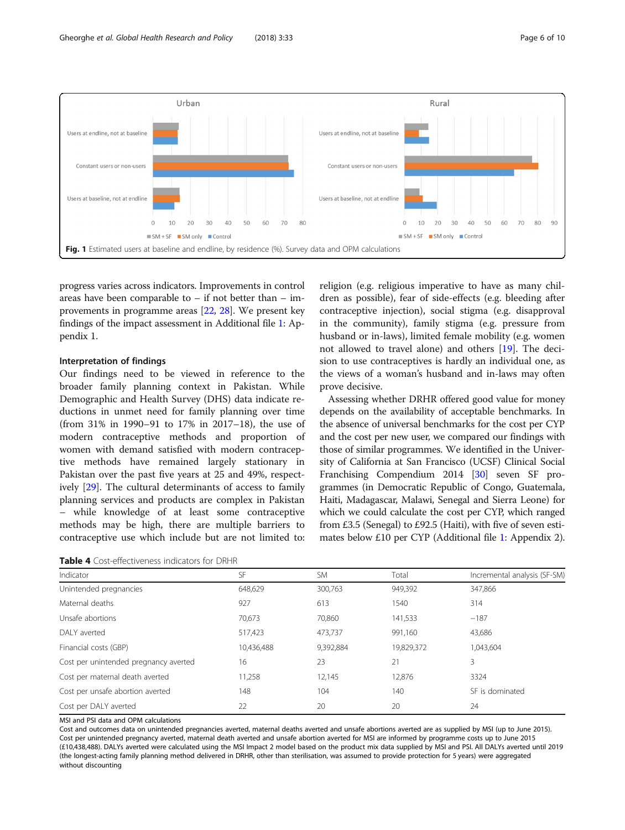<span id="page-5-0"></span>

progress varies across indicators. Improvements in control areas have been comparable to  $-$  if not better than  $-$  improvements in programme areas [\[22,](#page-9-0) [28\]](#page-9-0). We present key findings of the impact assessment in Additional file [1:](#page-8-0) Appendix 1.

## Interpretation of findings

Our findings need to be viewed in reference to the broader family planning context in Pakistan. While Demographic and Health Survey (DHS) data indicate reductions in unmet need for family planning over time (from 31% in 1990–91 to 17% in 2017–18), the use of modern contraceptive methods and proportion of women with demand satisfied with modern contraceptive methods have remained largely stationary in Pakistan over the past five years at 25 and 49%, respectively [[29\]](#page-9-0). The cultural determinants of access to family planning services and products are complex in Pakistan – while knowledge of at least some contraceptive methods may be high, there are multiple barriers to contraceptive use which include but are not limited to:

| <b>Table 4</b> Cost-effectiveness indicators for DRHR |
|-------------------------------------------------------|
|-------------------------------------------------------|

religion (e.g. religious imperative to have as many children as possible), fear of side-effects (e.g. bleeding after contraceptive injection), social stigma (e.g. disapproval in the community), family stigma (e.g. pressure from husband or in-laws), limited female mobility (e.g. women not allowed to travel alone) and others [[19](#page-8-0)]. The decision to use contraceptives is hardly an individual one, as the views of a woman's husband and in-laws may often prove decisive.

Assessing whether DRHR offered good value for money depends on the availability of acceptable benchmarks. In the absence of universal benchmarks for the cost per CYP and the cost per new user, we compared our findings with those of similar programmes. We identified in the University of California at San Francisco (UCSF) Clinical Social Franchising Compendium 2014 [[30](#page-9-0)] seven SF programmes (in Democratic Republic of Congo, Guatemala, Haiti, Madagascar, Malawi, Senegal and Sierra Leone) for which we could calculate the cost per CYP, which ranged from £3.5 (Senegal) to £92.5 (Haiti), with five of seven estimates below £10 per CYP (Additional file [1](#page-8-0): Appendix 2).

| Indicator                             | SF         | <b>SM</b> | Total      | Incremental analysis (SF-SM) |
|---------------------------------------|------------|-----------|------------|------------------------------|
| Unintended pregnancies                | 648,629    | 300,763   | 949,392    | 347,866                      |
| Maternal deaths                       | 927        | 613       | 1540       | 314                          |
| Unsafe abortions                      | 70,673     | 70,860    | 141,533    | $-187$                       |
| DAI Y averted                         | 517,423    | 473,737   | 991,160    | 43,686                       |
| Financial costs (GBP)                 | 10,436,488 | 9,392,884 | 19,829,372 | 1,043,604                    |
| Cost per unintended pregnancy averted | 16         | 23        | 21         | 3                            |
| Cost per maternal death averted       | 11,258     | 12,145    | 12,876     | 3324                         |
| Cost per unsafe abortion averted      | 148        | 104       | 140        | SF is dominated              |
| Cost per DALY averted                 | 22         | 20        | 20         | 24                           |

MSI and PSI data and OPM calculations

Cost and outcomes data on unintended pregnancies averted, maternal deaths averted and unsafe abortions averted are as supplied by MSI (up to June 2015). Cost per unintended pregnancy averted, maternal death averted and unsafe abortion averted for MSI are informed by programme costs up to June 2015 (£10,438,488). DALYs averted were calculated using the MSI Impact 2 model based on the product mix data supplied by MSI and PSI. All DALYs averted until 2019 (the longest-acting family planning method delivered in DRHR, other than sterilisation, was assumed to provide protection for 5 years) were aggregated without discounting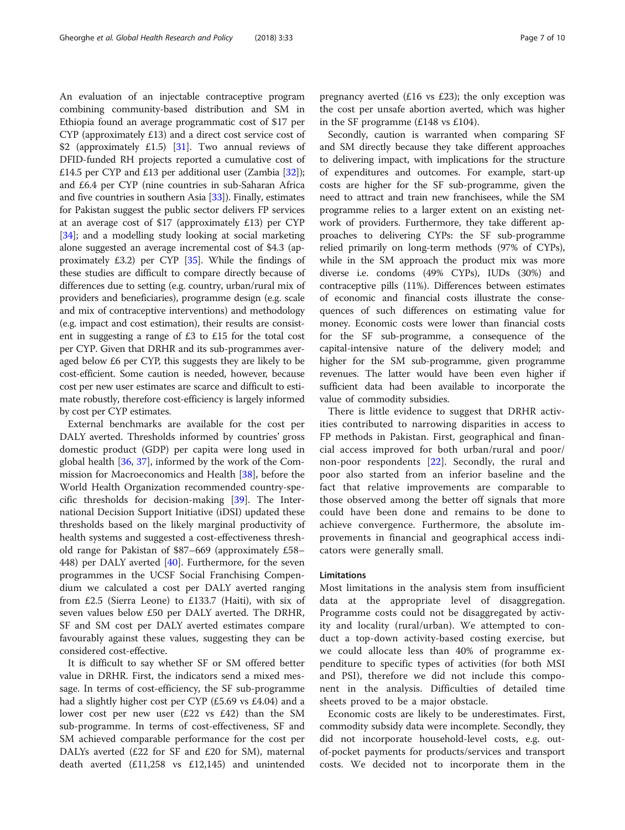An evaluation of an injectable contraceptive program combining community-based distribution and SM in Ethiopia found an average programmatic cost of \$17 per CYP (approximately £13) and a direct cost service cost of \$2 (approximately £1.5) [[31\]](#page-9-0). Two annual reviews of DFID-funded RH projects reported a cumulative cost of £14.5 per CYP and £13 per additional user (Zambia [[32](#page-9-0)]); and £6.4 per CYP (nine countries in sub-Saharan Africa and five countries in southern Asia [\[33\]](#page-9-0)). Finally, estimates for Pakistan suggest the public sector delivers FP services at an average cost of \$17 (approximately £13) per CYP [[34](#page-9-0)]; and a modelling study looking at social marketing alone suggested an average incremental cost of \$4.3 (approximately £3.2) per CYP [[35](#page-9-0)]. While the findings of these studies are difficult to compare directly because of differences due to setting (e.g. country, urban/rural mix of providers and beneficiaries), programme design (e.g. scale and mix of contraceptive interventions) and methodology (e.g. impact and cost estimation), their results are consistent in suggesting a range of £3 to £15 for the total cost per CYP. Given that DRHR and its sub-programmes averaged below £6 per CYP, this suggests they are likely to be cost-efficient. Some caution is needed, however, because cost per new user estimates are scarce and difficult to estimate robustly, therefore cost-efficiency is largely informed by cost per CYP estimates.

External benchmarks are available for the cost per DALY averted. Thresholds informed by countries' gross domestic product (GDP) per capita were long used in global health [\[36](#page-9-0), [37](#page-9-0)], informed by the work of the Commission for Macroeconomics and Health [[38\]](#page-9-0), before the World Health Organization recommended country-specific thresholds for decision-making [\[39](#page-9-0)]. The International Decision Support Initiative (iDSI) updated these thresholds based on the likely marginal productivity of health systems and suggested a cost-effectiveness threshold range for Pakistan of \$87–669 (approximately £58– 448) per DALY averted [[40](#page-9-0)]. Furthermore, for the seven programmes in the UCSF Social Franchising Compendium we calculated a cost per DALY averted ranging from £2.5 (Sierra Leone) to £133.7 (Haiti), with six of seven values below £50 per DALY averted. The DRHR, SF and SM cost per DALY averted estimates compare favourably against these values, suggesting they can be considered cost-effective.

It is difficult to say whether SF or SM offered better value in DRHR. First, the indicators send a mixed message. In terms of cost-efficiency, the SF sub-programme had a slightly higher cost per CYP (£5.69 vs £4.04) and a lower cost per new user (£22 vs £42) than the SM sub-programme. In terms of cost-effectiveness, SF and SM achieved comparable performance for the cost per DALYs averted (£22 for SF and £20 for SM), maternal death averted (£11,258 vs £12,145) and unintended

pregnancy averted (£16 vs £23); the only exception was the cost per unsafe abortion averted, which was higher in the SF programme (£148 vs £104).

Secondly, caution is warranted when comparing SF and SM directly because they take different approaches to delivering impact, with implications for the structure of expenditures and outcomes. For example, start-up costs are higher for the SF sub-programme, given the need to attract and train new franchisees, while the SM programme relies to a larger extent on an existing network of providers. Furthermore, they take different approaches to delivering CYPs: the SF sub-programme relied primarily on long-term methods (97% of CYPs), while in the SM approach the product mix was more diverse i.e. condoms (49% CYPs), IUDs (30%) and contraceptive pills (11%). Differences between estimates of economic and financial costs illustrate the consequences of such differences on estimating value for money. Economic costs were lower than financial costs for the SF sub-programme, a consequence of the capital-intensive nature of the delivery model; and higher for the SM sub-programme, given programme revenues. The latter would have been even higher if sufficient data had been available to incorporate the value of commodity subsidies.

There is little evidence to suggest that DRHR activities contributed to narrowing disparities in access to FP methods in Pakistan. First, geographical and financial access improved for both urban/rural and poor/ non-poor respondents [\[22](#page-9-0)]. Secondly, the rural and poor also started from an inferior baseline and the fact that relative improvements are comparable to those observed among the better off signals that more could have been done and remains to be done to achieve convergence. Furthermore, the absolute improvements in financial and geographical access indicators were generally small.

#### Limitations

Most limitations in the analysis stem from insufficient data at the appropriate level of disaggregation. Programme costs could not be disaggregated by activity and locality (rural/urban). We attempted to conduct a top-down activity-based costing exercise, but we could allocate less than 40% of programme expenditure to specific types of activities (for both MSI and PSI), therefore we did not include this component in the analysis. Difficulties of detailed time sheets proved to be a major obstacle.

Economic costs are likely to be underestimates. First, commodity subsidy data were incomplete. Secondly, they did not incorporate household-level costs, e.g. outof-pocket payments for products/services and transport costs. We decided not to incorporate them in the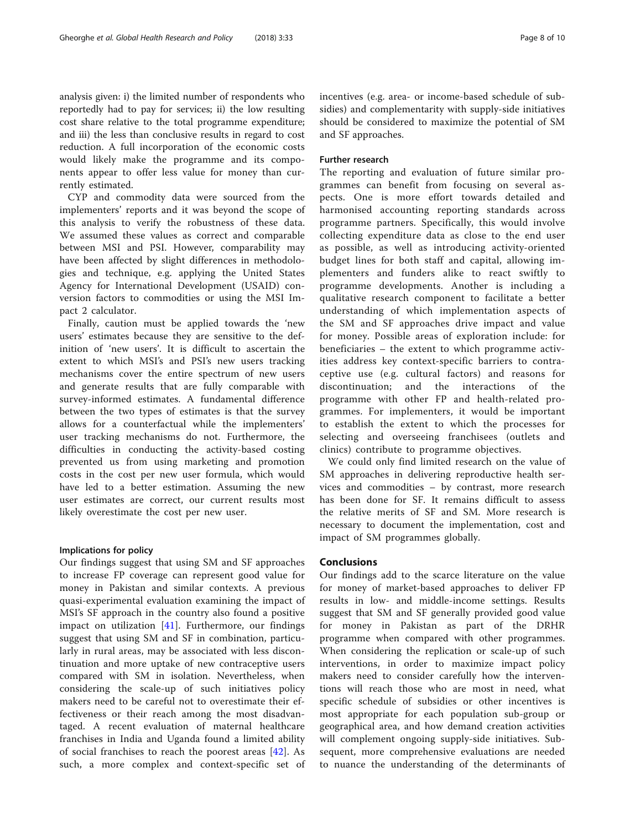analysis given: i) the limited number of respondents who reportedly had to pay for services; ii) the low resulting cost share relative to the total programme expenditure; and iii) the less than conclusive results in regard to cost reduction. A full incorporation of the economic costs would likely make the programme and its components appear to offer less value for money than currently estimated.

CYP and commodity data were sourced from the implementers' reports and it was beyond the scope of this analysis to verify the robustness of these data. We assumed these values as correct and comparable between MSI and PSI. However, comparability may have been affected by slight differences in methodologies and technique, e.g. applying the United States Agency for International Development (USAID) conversion factors to commodities or using the MSI Impact 2 calculator.

Finally, caution must be applied towards the 'new users' estimates because they are sensitive to the definition of 'new users'. It is difficult to ascertain the extent to which MSI's and PSI's new users tracking mechanisms cover the entire spectrum of new users and generate results that are fully comparable with survey-informed estimates. A fundamental difference between the two types of estimates is that the survey allows for a counterfactual while the implementers' user tracking mechanisms do not. Furthermore, the difficulties in conducting the activity-based costing prevented us from using marketing and promotion costs in the cost per new user formula, which would have led to a better estimation. Assuming the new user estimates are correct, our current results most likely overestimate the cost per new user.

#### Implications for policy

Our findings suggest that using SM and SF approaches to increase FP coverage can represent good value for money in Pakistan and similar contexts. A previous quasi-experimental evaluation examining the impact of MSI's SF approach in the country also found a positive impact on utilization [[41\]](#page-9-0). Furthermore, our findings suggest that using SM and SF in combination, particularly in rural areas, may be associated with less discontinuation and more uptake of new contraceptive users compared with SM in isolation. Nevertheless, when considering the scale-up of such initiatives policy makers need to be careful not to overestimate their effectiveness or their reach among the most disadvantaged. A recent evaluation of maternal healthcare franchises in India and Uganda found a limited ability of social franchises to reach the poorest areas [\[42](#page-9-0)]. As such, a more complex and context-specific set of incentives (e.g. area- or income-based schedule of subsidies) and complementarity with supply-side initiatives should be considered to maximize the potential of SM and SF approaches.

#### Further research

The reporting and evaluation of future similar programmes can benefit from focusing on several aspects. One is more effort towards detailed and harmonised accounting reporting standards across programme partners. Specifically, this would involve collecting expenditure data as close to the end user as possible, as well as introducing activity-oriented budget lines for both staff and capital, allowing implementers and funders alike to react swiftly to programme developments. Another is including a qualitative research component to facilitate a better understanding of which implementation aspects of the SM and SF approaches drive impact and value for money. Possible areas of exploration include: for beneficiaries – the extent to which programme activities address key context-specific barriers to contraceptive use (e.g. cultural factors) and reasons for discontinuation; and the interactions of the programme with other FP and health-related programmes. For implementers, it would be important to establish the extent to which the processes for selecting and overseeing franchisees (outlets and clinics) contribute to programme objectives.

We could only find limited research on the value of SM approaches in delivering reproductive health services and commodities – by contrast, more research has been done for SF. It remains difficult to assess the relative merits of SF and SM. More research is necessary to document the implementation, cost and impact of SM programmes globally.

# Conclusions

Our findings add to the scarce literature on the value for money of market-based approaches to deliver FP results in low- and middle-income settings. Results suggest that SM and SF generally provided good value for money in Pakistan as part of the DRHR programme when compared with other programmes. When considering the replication or scale-up of such interventions, in order to maximize impact policy makers need to consider carefully how the interventions will reach those who are most in need, what specific schedule of subsidies or other incentives is most appropriate for each population sub-group or geographical area, and how demand creation activities will complement ongoing supply-side initiatives. Subsequent, more comprehensive evaluations are needed to nuance the understanding of the determinants of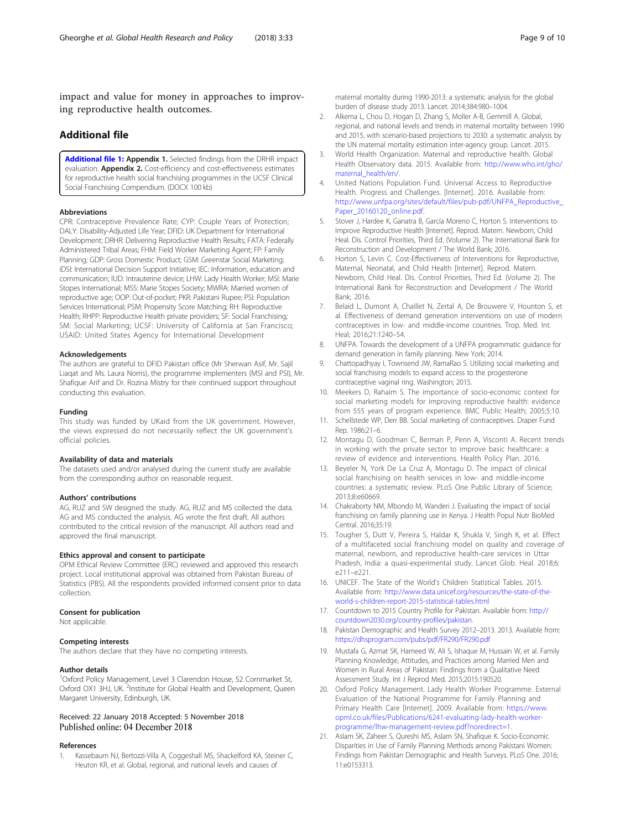<span id="page-8-0"></span>impact and value for money in approaches to improving reproductive health outcomes.

# Additional file

[Additional file 1:](https://doi.org/10.1186/s41256-018-0089-4) Appendix 1. Selected findings from the DRHR impact evaluation. **Appendix 2.** Cost-efficiency and cost-effectiveness estimates for reproductive health social franchising programmes in the UCSF Clinical Social Franchising Compendium. (DOCX 100 kb)

#### Abbreviations

CPR: Contraceptive Prevalence Rate; CYP: Couple Years of Protection; DALY: Disability-Adjusted Life Year; DFID: UK Department for International Development; DRHR: Delivering Reproductive Health Results; FATA: Federally Administered Tribal Areas; FHM: Field Worker Marketing Agent; FP: Family Planning; GDP: Gross Domestic Product; GSM: Greenstar Social Marketing; iDSI: International Decision Support Initiative; IEC: Information, education and communication; IUD: Intrauterine device; LHW: Lady Health Worker; MSI: Marie Stopes International; MSS: Marie Stopes Society; MWRA: Married women of reproductive age; OOP: Out-of-pocket; PKR: Pakistani Rupee; PSI: Population Services International; PSM: Propensity Score Matching; RH: Reproductive Health; RHPP: Reproductive Health private providers; SF: Social Franchising; SM: Social Marketing; UCSF: University of California at San Francisco; USAID: United States Agency for International Development

#### Acknowledgements

The authors are grateful to DFID Pakistan office (Mr Sherwan Asif, Mr. Sajil Liaqat and Ms. Laura Norris), the programme implementers (MSI and PSI), Mr. Shafique Arif and Dr. Rozina Mistry for their continued support throughout conducting this evaluation.

#### Funding

This study was funded by UKaid from the UK government. However, the views expressed do not necessarily reflect the UK government's official policies.

#### Availability of data and materials

The datasets used and/or analysed during the current study are available from the corresponding author on reasonable request.

#### Authors' contributions

AG, RUZ and SW designed the study. AG, RUZ and MS collected the data. AG and MS conducted the analysis. AG wrote the first draft. All authors contributed to the critical revision of the manuscript. All authors read and approved the final manuscript.

#### Ethics approval and consent to participate

OPM Ethical Review Committee (ERC) reviewed and approved this research project. Local institutional approval was obtained from Pakistan Bureau of Statistics (PBS). All the respondents provided informed consent prior to data collection.

#### Consent for publication

Not applicable.

#### Competing interests

The authors declare that they have no competing interests.

#### Author details

<sup>1</sup>Oxford Policy Management, Level 3 Clarendon House, 52 Cornmarket St, Oxford OX1 3HJ, UK. <sup>2</sup>Institute for Global Health and Development, Queen Margaret University, Edinburgh, UK.

#### Received: 22 January 2018 Accepted: 5 November 2018 Published online: 04 December 2018

#### References

1. Kassebaum NJ, Bertozzi-Villa A, Coggeshall MS, Shackelford KA, Steiner C, Heuton KR, et al. Global, regional, and national levels and causes of

maternal mortality during 1990-2013: a systematic analysis for the global burden of disease study 2013. Lancet. 2014;384:980–1004.

- 2. Alkema L, Chou D, Hogan D, Zhang S, Moller A-B, Gemmill A, Global, regional, and national levels and trends in maternal mortality between 1990 and 2015, with scenario-based projections to 2030: a systematic analysis by the UN maternal mortality estimation inter-agency group. Lancet. 2015.
- 3. World Health Organization. Maternal and reproductive health. Global Health Observatory data. 2015. Available from: [http://www.who.int/gho/](http://www.who.int/gho/maternal_health/en/) [maternal\\_health/en/.](http://www.who.int/gho/maternal_health/en/)
- 4. United Nations Population Fund. Universal Access to Reproductive Health. Progress and Challenges. [Internet]. 2016. Available from: [http://www.unfpa.org/sites/default/files/pub-pdf/UNFPA\\_Reproductive\\_](http://www.unfpa.org/sites/default/files/pub-pdf/UNFPA_Reproductive_Paper_20160120_online.pdf) [Paper\\_20160120\\_online.pdf](http://www.unfpa.org/sites/default/files/pub-pdf/UNFPA_Reproductive_Paper_20160120_online.pdf).
- Stover J, Hardee K, Ganatra B, García Moreno C, Horton S. Interventions to Improve Reproductive Health [Internet]. Reprod. Matern. Newborn, Child Heal. Dis. Control Priorities, Third Ed. (Volume 2). The International Bank for Reconstruction and Development / The World Bank; 2016.
- 6. Horton S, Levin C. Cost-Effectiveness of Interventions for Reproductive, Maternal, Neonatal, and Child Health [Internet]. Reprod. Matern. Newborn, Child Heal. Dis. Control Priorities, Third Ed. (Volume 2). The International Bank for Reconstruction and Development / The World Bank; 2016.
- 7. Belaid L, Dumont A, Chaillet N, Zertal A, De Brouwere V, Hounton S, et al. Effectiveness of demand generation interventions on use of modern contraceptives in low- and middle-income countries. Trop. Med. Int. Heal; 2016;21:1240–54.
- 8. UNFPA. Towards the development of a UNFPA programmatic guidance for demand generation in family planning. New York; 2014.
- 9. Chattopadhyay I, Townsend JW, RamaRao S. Utilizing social marketing and social franchising models to expand access to the progesterone contraceptive vaginal ring. Washington; 2015.
- 10. Meekers D, Rahaim S. The importance of socio-economic context for social marketing models for improving reproductive health: evidence from 555 years of program experience. BMC Public Health; 2005;5:10.
- 11. Schellstede WP, Derr BB. Social marketing of contraceptives. Draper Fund Rep. 1986;21–6.
- 12. Montagu D, Goodman C, Berman P, Penn A, Visconti A. Recent trends in working with the private sector to improve basic healthcare: a review of evidence and interventions. Health Policy Plan. 2016.
- 13. Beyeler N, York De La Cruz A, Montagu D. The impact of clinical social franchising on health services in low- and middle-income countries: a systematic review. PLoS One Public Library of Science; 2013;8:e60669.
- 14. Chakraborty NM, Mbondo M, Wanderi J. Evaluating the impact of social franchising on family planning use in Kenya. J Health Popul Nutr BioMed Central. 2016;35:19.
- 15. Tougher S, Dutt V, Pereira S, Haldar K, Shukla V, Singh K, et al. Effect of a multifaceted social franchising model on quality and coverage of maternal, newborn, and reproductive health-care services in Uttar Pradesh, India: a quasi-experimental study. Lancet Glob. Heal. 2018;6: e211–e221.
- 16. UNICEF. The State of the World's Children Statistical Tables. 2015. Available from: [http://www.data.unicef.org/resources/the-state-of-the](http://www.data.unicef.org/resources/the-state-of-the-world-s-children-report-2015-statistical-tables.html)[world-s-children-report-2015-statistical-tables.html](http://www.data.unicef.org/resources/the-state-of-the-world-s-children-report-2015-statistical-tables.html)
- 17. Countdown to 2015 Country Profile for Pakistan. Available from: [http://](http://countdown2030.org/country-profiles/pakistan) [countdown2030.org/country-profiles/pakistan.](http://countdown2030.org/country-profiles/pakistan)
- 18. Pakistan Demographic and Health Survey 2012–2013. 2013. Available from: <https://dhsprogram.com/pubs/pdf/FR290/FR290.pdf>
- 19. Mustafa G, Azmat SK, Hameed W, Ali S, Ishaque M, Hussain W, et al. Family Planning Knowledge, Attitudes, and Practices among Married Men and Women in Rural Areas of Pakistan: Findings from a Qualitative Need Assessment Study. Int J Reprod Med. 2015;2015:190520.
- 20. Oxford Policy Management. Lady Health Worker Programme. External Evaluation of the National Programme for Family Planning and Primary Health Care [Internet]. 2009. Available from: [https://www.](https://www.opml.co.uk/files/Publications/6241-evaluating-lady-health-worker-programme/lhw-management-review.pdf?noredirect=1) [opml.co.uk/files/Publications/6241-evaluating-lady-health-worker](https://www.opml.co.uk/files/Publications/6241-evaluating-lady-health-worker-programme/lhw-management-review.pdf?noredirect=1)[programme/lhw-management-review.pdf?noredirect=1.](https://www.opml.co.uk/files/Publications/6241-evaluating-lady-health-worker-programme/lhw-management-review.pdf?noredirect=1)
- 21. Aslam SK, Zaheer S, Qureshi MS, Aslam SN, Shafique K. Socio-Economic Disparities in Use of Family Planning Methods among Pakistani Women: Findings from Pakistan Demographic and Health Surveys. PLoS One. 2016; 11:e0153313.